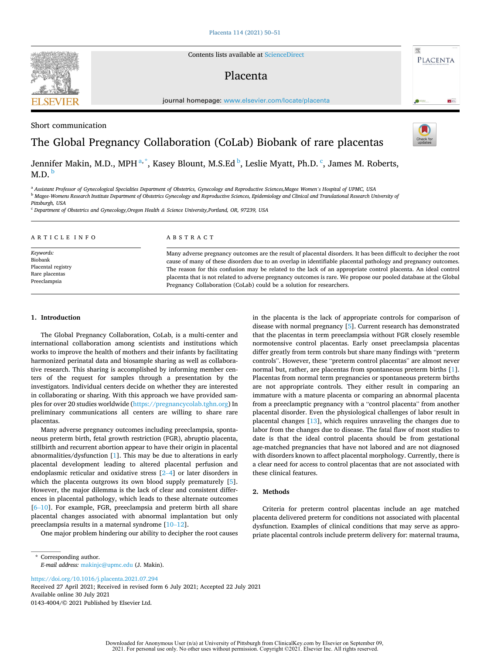Contents lists available at [ScienceDirect](www.sciencedirect.com/science/journal/01434004)

# Placenta

journal homepage: [www.elsevier.com/locate/placenta](https://www.elsevier.com/locate/placenta)

Short communication

# The Global Pregnancy Collaboration (CoLab) Biobank of rare placentas

Jennifer Makin, M.D., MPH <sup>a, \*</sup>, Kasey Blount, M.S.Ed <sup>b</sup>, Leslie Myatt, Ph.D. <sup>c</sup>, James M. Roberts,  $M.D.<sub>b</sub>$ 

<sup>a</sup> *Assistant Professor of Gynecological Specialties Department of Obstetrics, Gynecology and Reproductive Sciences,Magee Women's Hospital of UPMC, USA* 

<sup>b</sup> *Magee-Womens Research Institute Department of Obstetrics Gynecology and Reproductive Sciences, Epidemiology and Clinical and Translational Research University of* 

<sup>c</sup> *Department of Obstetrics and Gynecology,Oregon Health & Science University,Portland, OR, 97239, USA* 

| ARTICLE INFO       | ABSTRACT                                                                                                          |
|--------------------|-------------------------------------------------------------------------------------------------------------------|
| Keywords:          | Many adverse pregnancy outcomes are the result of placental disorders. It has been difficult to decipher the root |
| Biobank            | cause of many of these disorders due to an overlap in identifiable placental pathology and pregnancy outcomes.    |
| Placental registry | The reason for this confusion may be related to the lack of an appropriate control placenta. An ideal control     |
| Rare placentas     | placenta that is not related to adverse pregnancy outcomes is rare. We propose our pooled database at the Global  |
| Preeclampsia       | Pregnancy Collaboration (CoLab) could be a solution for researchers.                                              |

### **1. Introduction**

The Global Pregnancy Collaboration, CoLab, is a multi-center and international collaboration among scientists and institutions which works to improve the health of mothers and their infants by facilitating harmonized perinatal data and biosample sharing as well as collaborative research. This sharing is accomplished by informing member centers of the request for samples through a presentation by the investigators. Individual centers decide on whether they are interested in collaborating or sharing. With this approach we have provided samples for over 20 studies worldwide [\(https://pregnancycolab.tghn.org\)](https://pregnancycolab.tghn.org) In preliminary communications all centers are willing to share rare placentas.

Many adverse pregnancy outcomes including preeclampsia, spontaneous preterm birth, fetal growth restriction (FGR), abruptio placenta, stillbirth and recurrent abortion appear to have their origin in placental abnormalities/dysfunction [\[1\]](#page-1-0). This may be due to alterations in early placental development leading to altered placental perfusion and endoplasmic reticular and oxidative stress [\[2](#page-1-0)–4] or later disorders in which the placenta outgrows its own blood supply prematurely [[5](#page-1-0)]. However, the major dilemma is the lack of clear and consistent differences in placental pathology, which leads to these alternate outcomes [6–[10](#page-1-0)]. For example, FGR, preeclampsia and preterm birth all share placental changes associated with abnormal implantation but only preeclampsia results in a maternal syndrome [10–[12\]](#page-1-0).

One major problem hindering our ability to decipher the root causes

in the placenta is the lack of appropriate controls for comparison of disease with normal pregnancy [[5\]](#page-1-0). Current research has demonstrated that the placentas in term preeclampsia without FGR closely resemble normotensive control placentas. Early onset preeclampsia placentas differ greatly from term controls but share many findings with "preterm controls". However, these "preterm control placentas" are almost never normal but, rather, are placentas from spontaneous preterm births [[1](#page-1-0)]. Placentas from normal term pregnancies or spontaneous preterm births are not appropriate controls. They either result in comparing an immature with a mature placenta or comparing an abnormal placenta from a preeclamptic pregnancy with a "control placenta" from another placental disorder. Even the physiological challenges of labor result in placental changes [[13\]](#page-1-0), which requires unraveling the changes due to labor from the changes due to disease. The fatal flaw of most studies to date is that the ideal control placenta should be from gestational age-matched pregnancies that have not labored and are not diagnosed with disorders known to affect placental morphology. Currently, there is a clear need for access to control placentas that are not associated with these clinical features.

# **2. Methods**

Criteria for preterm control placentas include an age matched placenta delivered preterm for conditions not associated with placental dysfunction. Examples of clinical conditions that may serve as appropriate placental controls include preterm delivery for: maternal trauma,

\* Corresponding author. *E-mail address:* [makinjc@upmc.edu](mailto:makinjc@upmc.edu) (J. Makin).

<https://doi.org/10.1016/j.placenta.2021.07.294>

Available online 30 July 2021 0143-4004/© 2021 Published by Elsevier Ltd. Received 27 April 2021; Received in revised form 6 July 2021; Accepted 22 July 2021





PLACENTA

**Ca**un

*Pittsburgh, USA*